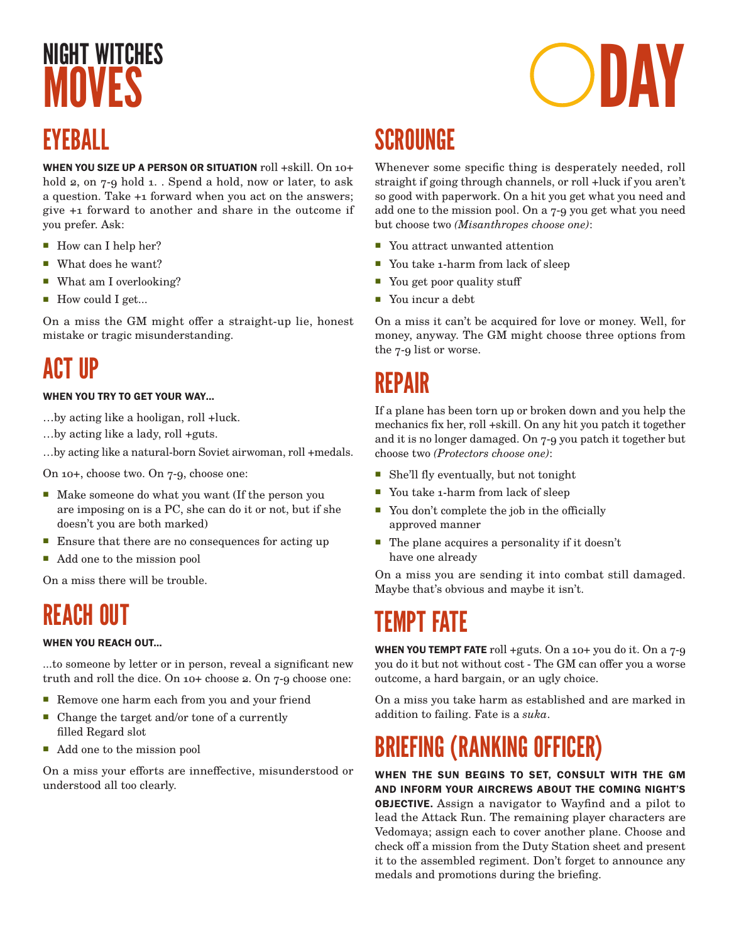## **MNVFS** EYEBALL

WHEN YOU SIZE UP A PERSON OR SITUATION roll +skill. On 10+ hold 2, on 7-9 hold 1. . Spend a hold, now or later, to ask a question. Take +1 forward when you act on the answers; give +1 forward to another and share in the outcome if you prefer. Ask:

- How can I help her?
- What does he want?
- What am I overlooking?
- How could I get...

On a miss the GM might offer a straight-up lie, honest mistake or tragic misunderstanding.

### ACT IIP

#### WHEN YOU TRY TO GET YOUR WAY…

- …by acting like a hooligan, roll +luck.
- …by acting like a lady, roll +guts.
- …by acting like a natural-born Soviet airwoman, roll +medals.

On 10+, choose two. On 7-9, choose one:

- Make someone do what you want (If the person you are imposing on is a PC, she can do it or not, but if she doesn't you are both marked)
- **Ensure that there are no consequences for acting up**
- Add one to the mission pool

On a miss there will be trouble.

### REACH OUT

#### WHEN YOU REACH OUT…

...to someone by letter or in person, reveal a significant new truth and roll the dice. On 10+ choose 2. On 7-9 choose one:

- Remove one harm each from you and your friend
- Change the target and/or tone of a currently filled Regard slot
- Add one to the mission pool

On a miss your efforts are inneffective, misunderstood or understood all too clearly.

### SCROUNGE

Whenever some specific thing is desperately needed, roll straight if going through channels, or roll +luck if you aren't so good with paperwork. On a hit you get what you need and add one to the mission pool. On a 7-9 you get what you need but choose two *(Misanthropes choose one)*:

- You attract unwanted attention
- You take 1-harm from lack of sleep
- You get poor quality stuff
- You incur a debt

On a miss it can't be acquired for love or money. Well, for money, anyway. The GM might choose three options from the 7-9 list or worse.

### REPAIR

If a plane has been torn up or broken down and you help the mechanics fix her, roll +skill. On any hit you patch it together and it is no longer damaged. On 7-9 you patch it together but choose two *(Protectors choose one)*:

- She'll fly eventually, but not tonight
- You take 1-harm from lack of sleep
- You don't complete the job in the officially approved manner
- The plane acquires a personality if it doesn't have one already

On a miss you are sending it into combat still damaged. Maybe that's obvious and maybe it isn't.

### TEMPT FATE

**WHEN YOU TEMPT FATE** roll +guts. On a 10+ you do it. On a  $7-9$ you do it but not without cost - The GM can offer you a worse outcome, a hard bargain, or an ugly choice.

On a miss you take harm as established and are marked in addition to failing. Fate is a *suka*.

## BRIEFING (RANKING OFFICER)

WHEN THE SUN BEGINS TO SET, CONSULT WITH THE GM AND INFORM YOUR AIRCREWS ABOUT THE COMING NIGHT'S OBJECTIVE. Assign a navigator to Wayfind and a pilot to lead the Attack Run. The remaining player characters are Vedomaya; assign each to cover another plane. Choose and check off a mission from the Duty Station sheet and present it to the assembled regiment. Don't forget to announce any medals and promotions during the briefing.

NIGHT WITCHES **NOWERS**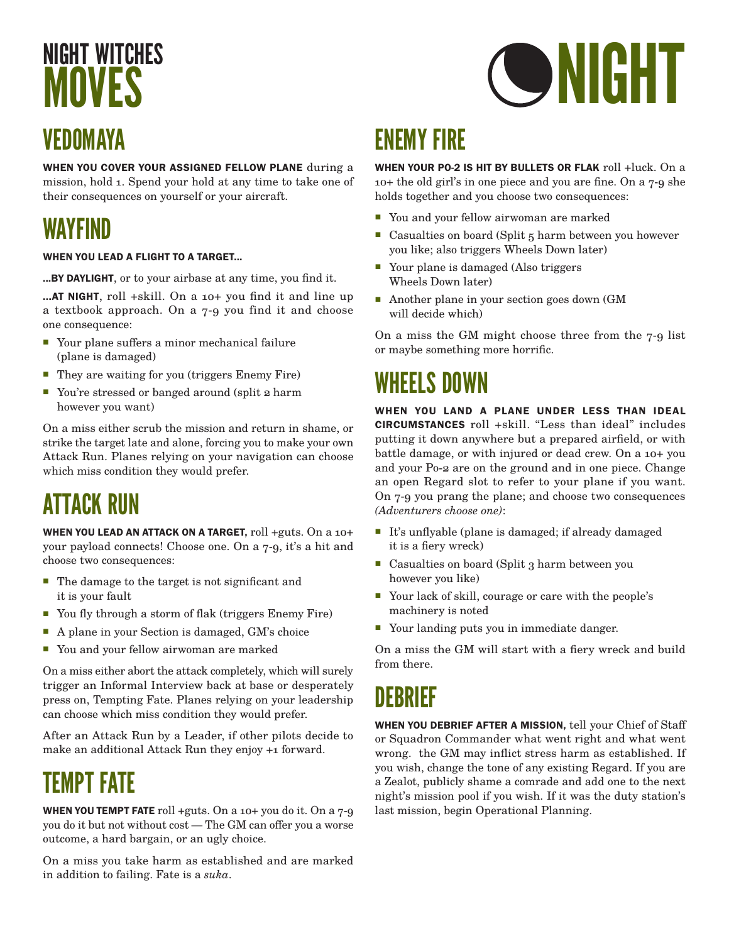## NIGHT WITCHES **MOVES** VEDOMAYA

WHEN YOU COVER YOUR ASSIGNED FELLOW PLANE during a mission, hold 1. Spend your hold at any time to take one of their consequences on yourself or your aircraft.

## WAYFIND

#### WHEN YOU LEAD A FLIGHT TO A TARGET...

...BY DAYLIGHT, or to your airbase at any time, you find it.

...AT NIGHT, roll +skill. On a 10+ you find it and line up a textbook approach. On a 7-9 you find it and choose one consequence:

- Your plane suffers a minor mechanical failure (plane is damaged)
- They are waiting for you (triggers Enemy Fire)
- You're stressed or banged around (split 2 harm however you want)

On a miss either scrub the mission and return in shame, or strike the target late and alone, forcing you to make your own Attack Run. Planes relying on your navigation can choose which miss condition they would prefer.

## ATTACK RUN

WHEN YOU LEAD AN ATTACK ON A TARGET, roll +guts. On a 10+ your payload connects! Choose one. On a 7-9, it's a hit and choose two consequences:

- The damage to the target is not significant and it is your fault
- You fly through a storm of flak (triggers Enemy Fire)
- A plane in your Section is damaged, GM's choice
- You and your fellow airwoman are marked

On a miss either abort the attack completely, which will surely trigger an Informal Interview back at base or desperately press on, Tempting Fate. Planes relying on your leadership can choose which miss condition they would prefer.

After an Attack Run by a Leader, if other pilots decide to make an additional Attack Run they enjoy +1 forward.

### TEMPT FATE

**WHEN YOU TEMPT FATE** roll +guts. On a 10+ you do it. On a  $7-9$ you do it but not without cost — The GM can offer you a worse outcome, a hard bargain, or an ugly choice.

On a miss you take harm as established and are marked in addition to failing. Fate is a *suka*.

## ENEMY FIRE

WHEN YOUR PO-2 IS HIT BY BULLETS OR FLAK roll +luck. On a 10+ the old girl's in one piece and you are fine. On a 7-9 she holds together and you choose two consequences:

- You and your fellow airwoman are marked
- Casualties on board (Split 5 harm between you however you like; also triggers Wheels Down later)
- Your plane is damaged (Also triggers Wheels Down later)
- Another plane in your section goes down (GM will decide which)

On a miss the GM might choose three from the 7-9 list or maybe something more horrific.

### WHEELS DOWN

WHEN YOU LAND A PLANE UNDER LESS THAN IDEAL CIRCUMSTANCES roll +skill. "Less than ideal" includes putting it down anywhere but a prepared airfield, or with battle damage, or with injured or dead crew. On a 10+ you and your Po-2 are on the ground and in one piece. Change an open Regard slot to refer to your plane if you want. On 7-9 you prang the plane; and choose two consequences *(Adventurers choose one)*:

- It's unflyable (plane is damaged; if already damaged it is a fiery wreck)
- Casualties on board (Split 3 harm between you however you like)
- Your lack of skill, courage or care with the people's machinery is noted
- Your landing puts you in immediate danger.

On a miss the GM will start with a fiery wreck and build from there.

### DEBRIEF

WHEN YOU DEBRIEF AFTER A MISSION, tell your Chief of Staff or Squadron Commander what went right and what went wrong. the GM may inflict stress harm as established. If you wish, change the tone of any existing Regard. If you are a Zealot, publicly shame a comrade and add one to the next night's mission pool if you wish. If it was the duty station's last mission, begin Operational Planning.

# **ONIGHT**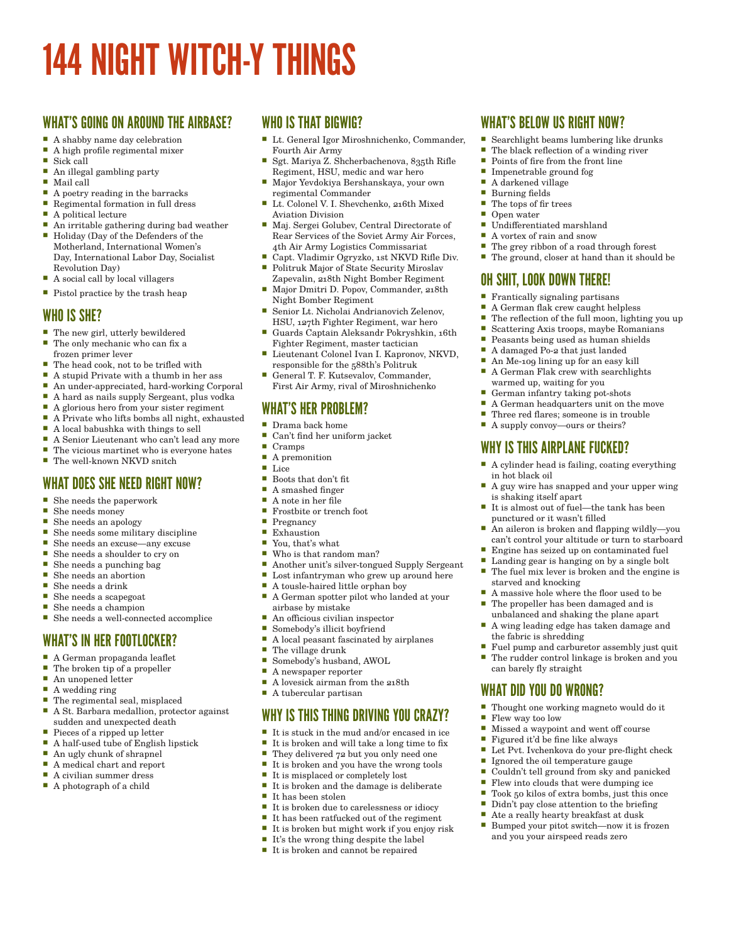## 144 NIGHT WITCH-Y THINGS

### WHAT'S GOING ON AROUND THE AIRBASE?

- A shabby name day celebration<br> $\Box$  A high profile regimental mixer
- A high profile regimental mixer
- Sick call
- An illegal gambling party Mail call
- 
- A poetry reading in the barracks<br>Regimental formation in full dress Regimental formation in full dress
- A political lecture
- An irritable gathering during bad weather
- Holiday (Day of the Defenders of the Motherland, International Women's Day, International Labor Day, Socialist Revolution Day)
- A social call by local villagers
- $\blacksquare$  Pistol practice by the trash heap

### WHO IS SHE?

- The new girl, utterly bewildered
- The only mechanic who can fix a frozen primer lever
- The head cook, not to be trifled with
- 
- A stupid Private with a thumb in her ass<br>An under-annreciated hard-working Corner An under-appreciated, hard-working Corporal
- A hard as nails supply Sergeant, plus vodka
- 
- A glorious hero from your sister regiment<br>A Private who lifts hombs all night, exhau A Private who lifts bombs all night, exhausted
- A local babushka with things to sell
- A Senior Lieutenant who can't lead any more
- The vicious martinet who is everyone hates
- The well-known NKVD snitch

### WHAT DOES SHE NEED RIGHT NOW?

- She needs the paperwork
- She needs money
- She needs an apology
- She needs some military discipline
- She needs an excuse—any excuse
- She needs a shoulder to cry on
- She needs a punching bag<br>■ She needs an abortion
- She needs an abortion ■ She needs a drink
- 
- She needs a scapegoat ■ She needs a champion
- She needs a well-connected accomplice

### WHAT'S IN HER FOOTLOCKER?

- A German propaganda leaflet
- $\blacksquare$  The broken tip of a propeller
- An unopened letter
- A wedding ring
- The regimental seal, misplaced
- A St. Barbara medallion, protector against sudden and unexpected death
- Pieces of a ripped up letter
- A half-used tube of English lipstick
- An ugly chunk of shrapnel
- A medical chart and report ■ A civilian summer dress
- A photograph of a child

### WHO IS THAT BIGWIG?

- Lt. General Igor Miroshnichenko, Commander, Fourth Air Army
- Sgt. Mariya Z. Shcherbachenova, 835th Rifle Regiment, HSU, medic and war hero
- Major Yevdokiya Bershanskaya, your own regimental Commander
- Lt. Colonel V. I. Shevchenko, 216th Mixed Aviation Division
- Maj. Sergei Golubev, Central Directorate of Rear Services of the Soviet Army Air Forces, 4th Air Army Logistics Commissariat
- Capt. Vladimir Ogryzko, 1st NKVD Rifle Div. Politruk Major of State Security Miroslav
- Zapevalin, 218th Night Bomber Regiment Major Dmitri D. Popov, Commander, 218th Night Bomber Regiment
- Senior Lt. Nicholai Andrianovich Zelenov, HSU, 127th Fighter Regiment, war hero
- Guards Captain Aleksandr Pokryshkin, 16th Fighter Regiment, master tactician
- Lieutenant Colonel Ivan I. Kapronov, NKVD, responsible for the 588th's Politruk
- General T. F. Kutsevalov, Commander, First Air Army, rival of Miroshnichenko

### WHAT'S HER PROBLEM?

- Drama back home
- Can't find her uniform jacket<br>■ Cramps
- $\Gamma$  Cramps
- A premonition
- Lice
- Boots that don't fit<br>A smashed finger A smashed finger
- A note in her file
- Frostbite or trench foot
- 
- $Pregnancy$ <br>Exhaustion Exhaustion
- You, that's what
- Who is that random man?
- Another unit's silver-tongued Supply Sergeant
- Lost infantryman who grew up around here
- A tousle-haired little orphan boy
- A German spotter pilot who landed at your airbase by mistake
- An officious civilian inspector
- Somebody's illicit boyfriend A local peasant fascinated by airplanes
- The village drunk<br>■ Somebody's busha
- Somebody's husband, AWOL
- A newspaper reporter
- A lovesick airman from the 218th

### A tubercular partisan

### WHY IS THIS THING DRIVING YOU CRAZY?

- It is stuck in the mud and/or encased in ice
- It is broken and will take a long time to fix
- They delivered 72 but you only need one
- It is broken and you have the wrong tools
- It is misplaced or completely lost<br>■ It is broken and the damage is de
- It is broken and the damage is deliberate ■ It has been stolen
- 
- It is broken due to carelessness or idiocy It has been ratfucked out of the regiment
- It is broken but might work if you enjoy risk
- $\blacksquare$  It's the wrong thing despite the label
- $\blacksquare$  <br> It is broken and cannot be repaired

### WHAT'S BELOW US RIGHT NOW?

Points of fire from the front line

Impenetrable ground fog<br> $\Box$  A darkened village A darkened village Burning fields  $\blacksquare$  The tops of fix  $\blacksquare$  The tops of fir trees Open water

■ Undifferentiated marshland A vortex of rain and snow<br>The grey ribbon of a road

OH SHIT, LOOK DOWN THERE! Frantically signaling partisans A German flak crew caught helpless The reflection of the full moon, lighting you up Scattering Axis troops, maybe Romanians<br>Beasants being used as human shields Peasants being used as human shields ■ A damaged Po-2 that just landed An Me-109 lining up for an easy kill A German Flak crew with searchlights

warmed up, waiting for you German infantry taking pot-shots<br> $\Box$  A German headquarters unit on t A German headquarters unit on the move Three red flares; someone is in trouble A supply convoy—ours or theirs? WHY IS THIS AIRPLANE FUCKED?

in hot black oil

is shaking itself apart

starved and knocking

the fabric is shredding

can barely fly straight WHAT DID YOU DO WRONG?

Flew way too low

punctured or it wasn't filled

A cylinder head is failing, coating everything

■ A guy wire has snapped and your upper wing

 An aileron is broken and flapping wildly—you can't control your altitude or turn to starboard Engine has seized up on contaminated fuel Landing gear is hanging on by a single bolt The fuel mix lever is broken and the engine is

■ It is almost out of fuel—the tank has been

A massive hole where the floor used to be  $\blacksquare$  The propeller has been damaged and is The propeller has been damaged and is unbalanced and shaking the plane apart A wing leading edge has taken damage and

■ Fuel pump and carburetor assembly just quit The rudder control linkage is broken and you

Thought one working magneto would do it

■ Let Pvt. Ivchenkova do your pre-flight check Ignored the oil temperature gauge Couldn't tell ground from sky and panicked Flew into clouds that were dumping ice Took 50 kilos of extra bombs, just this once<br>Didn't nav close attention to the briefing Didn't pay close attention to the briefing ■ Ate a really hearty breakfast at dusk<br>■ Bumped your pitot switch—now it is: Bumped your pitot switch—now it is frozen and you your airspeed reads zero

 Missed a waypoint and went off course Figured it'd be fine like always

 Searchlight beams lumbering like drunks  $\blacksquare$  The black reflection of a winding river<br> $\blacksquare$  Points of fire from the front line

The grey ribbon of a road through forest<br>The ground closer at hand than it shoul The ground, closer at hand than it should be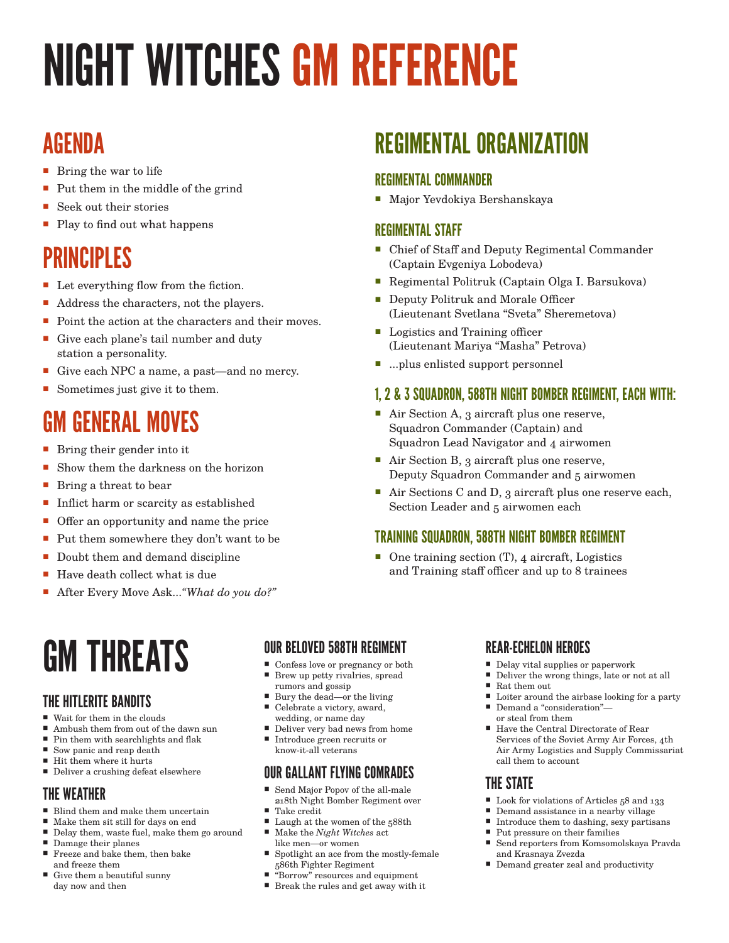# NIGHT WITCHES GM REFERENCE

### AGENDA

- Bring the war to life
- Put them in the middle of the grind
- Seek out their stories
- Play to find out what happens

## PRINCIPLES

- Let everything flow from the fiction.
- Address the characters, not the players.
- Point the action at the characters and their moves.
- Give each plane's tail number and duty station a personality.
- Give each NPC a name, a past—and no mercy.
- Sometimes just give it to them.

## GM GENERAL MOVES

- Bring their gender into it
- Show them the darkness on the horizon
- Bring a threat to bear
- Inflict harm or scarcity as established
- Offer an opportunity and name the price
- Put them somewhere they don't want to be
- Doubt them and demand discipline
- Have death collect what is due
- After Every Move Ask...*"What do you do?*"

## GM THREATS

### THE HITLERITE BANDITS

- Wait for them in the clouds
- Ambush them from out of the dawn sun
- Pin them with searchlights and flak ■ Sow panic and reap death
- $\quad \rule{2mm}{2mm}$  Hit them where it hurts
- Deliver a crushing defeat elsewhere

### THE WEATHER

- Blind them and make them uncertain
- Make them sit still for days on end
- $\blacksquare$  Delay them, waste fuel, make them go around Damage their planes
- Freeze and bake them, then bake
- and freeze them
- Give them a beautiful sunny day now and then

### OUR BELOVED 588TH REGIMENT

- Confess love or pregnancy or both **Brew up petty rivalries, spread**
- rumors and gossip ■ Bury the dead—or the living
- Celebrate a victory, award, wedding, or name day
- Deliver very bad news from home
- Introduce green recruits or know-it-all veterans

### OUR GALLANT FLYING COMRADES

- Send Major Popov of the all-male 218th Night Bomber Regiment over Take credit
- Laugh at the women of the 588th
- Make the *Night Witches* act like men—or women
- Spotlight an ace from the mostly-female 586th Fighter Regiment
- "Borrow" resources and equipment
- Break the rules and get away with it

## REGIMENTAL ORGANIZATION

### REGIMENTAL COMMANDER

Major Yevdokiya Bershanskaya

### REGIMENTAL STAFF

- Chief of Staff and Deputy Regimental Commander (Captain Evgeniya Lobodeva)
- Regimental Politruk (Captain Olga I. Barsukova)
- Deputy Politruk and Morale Officer (Lieutenant Svetlana "Sveta" Sheremetova)
- Logistics and Training officer (Lieutenant Mariya "Masha" Petrova)
- ...plus enlisted support personnel

### 1, 2 & 3 SQUADRON, 588TH NIGHT BOMBER REGIMENT, EACH WITH:

- Air Section A, 3 aircraft plus one reserve, Squadron Commander (Captain) and Squadron Lead Navigator and 4 airwomen
- Air Section B, 3 aircraft plus one reserve, Deputy Squadron Commander and 5 airwomen
- Air Sections C and D, 3 aircraft plus one reserve each, Section Leader and 5 airwomen each

### TRAINING SQUADRON, 588TH NIGHT BOMBER REGIMENT

■ One training section (T), 4 aircraft, Logistics and Training staff officer and up to 8 trainees

### REAR-ECHELON HEROES

- Delay vital supplies or paperwork
- Deliver the wrong things, late or not at all
- Rat them out
- Loiter around the airbase looking for a party
- Demand a "consideration" or steal from them
- Have the Central Directorate of Rear Services of the Soviet Army Air Forces, 4th Air Army Logistics and Supply Commissariat call them to account

### THE STATE

- Look for violations of Articles  $58$  and  $133$ <br>■ Demand assistance in a nearby village
- Demand assistance in a nearby village
- $\blacksquare$  Introduce them to dashing, sexy partisans
- $\blacksquare$  Put pressure on their families  $\blacksquare$  Send reporters from Komsomo
- Send reporters from Komsomolskaya Pravda and Krasnaya Zvezda
- Demand greater zeal and productivity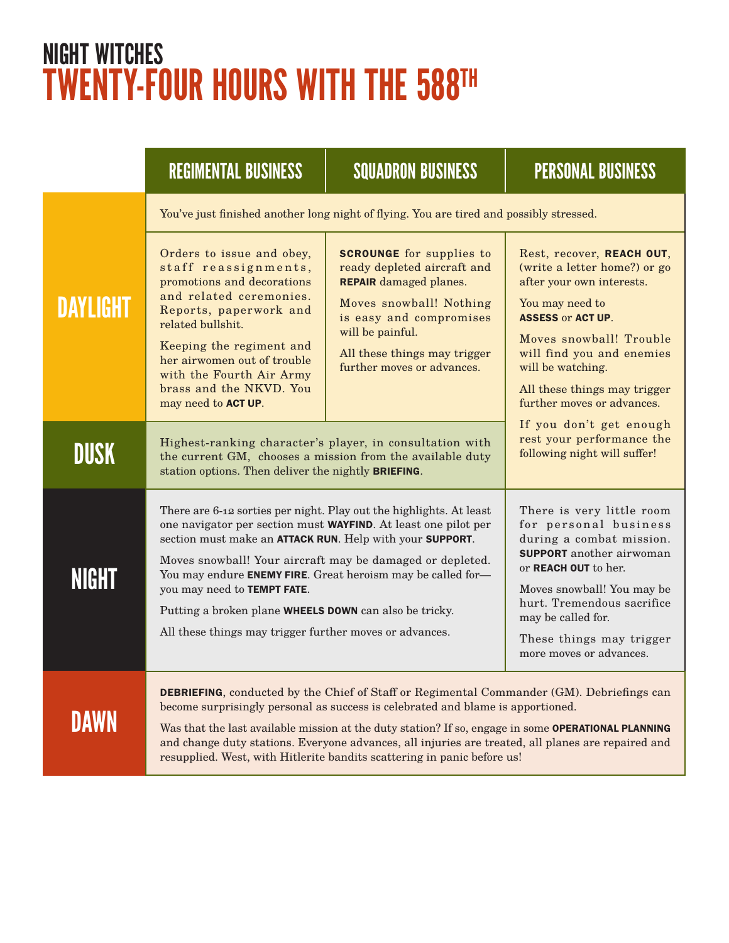## NIGHT WITCHES TWENTY-FOUR HOURS WITH THE 588TH

|                 | <b>REGIMENTAL BUSINESS</b>                                                                                                                                                                                                                                                                                                                                                                                                                                                                                                                    | <b>SQUADRON BUSINESS</b>                                                                                                                                                                                                                                                                                                                                                                                                                                                     | <b>PERSONAL BUSINESS</b>                                                                                                                                                                                                                                                         |  |  |  |
|-----------------|-----------------------------------------------------------------------------------------------------------------------------------------------------------------------------------------------------------------------------------------------------------------------------------------------------------------------------------------------------------------------------------------------------------------------------------------------------------------------------------------------------------------------------------------------|------------------------------------------------------------------------------------------------------------------------------------------------------------------------------------------------------------------------------------------------------------------------------------------------------------------------------------------------------------------------------------------------------------------------------------------------------------------------------|----------------------------------------------------------------------------------------------------------------------------------------------------------------------------------------------------------------------------------------------------------------------------------|--|--|--|
|                 | You've just finished another long night of flying. You are tired and possibly stressed.                                                                                                                                                                                                                                                                                                                                                                                                                                                       |                                                                                                                                                                                                                                                                                                                                                                                                                                                                              |                                                                                                                                                                                                                                                                                  |  |  |  |
| <b>DAYLIGHT</b> | <b>SCROUNGE</b> for supplies to<br>Orders to issue and obey,<br>staff reassignments,<br>ready depleted aircraft and<br>promotions and decorations<br><b>REPAIR</b> damaged planes.<br>and related ceremonies.<br>Moves snowball! Nothing<br>Reports, paperwork and<br>is easy and compromises<br>related bullshit.<br>will be painful.<br>Keeping the regiment and<br>All these things may trigger<br>her airwomen out of trouble<br>further moves or advances.<br>with the Fourth Air Army<br>brass and the NKVD. You<br>may need to ACT UP. |                                                                                                                                                                                                                                                                                                                                                                                                                                                                              | Rest, recover, REACH OUT,<br>(write a letter home?) or go<br>after your own interests.<br>You may need to<br><b>ASSESS or ACT UP.</b><br>Moves snowball! Trouble<br>will find you and enemies<br>will be watching.<br>All these things may trigger<br>further moves or advances. |  |  |  |
| DUSK            | Highest-ranking character's player, in consultation with<br>the current GM, chooses a mission from the available duty<br>station options. Then deliver the nightly BRIEFING.                                                                                                                                                                                                                                                                                                                                                                  | If you don't get enough<br>rest your performance the<br>following night will suffer!                                                                                                                                                                                                                                                                                                                                                                                         |                                                                                                                                                                                                                                                                                  |  |  |  |
| <b>NIGHT</b>    | There are 6-12 sorties per night. Play out the highlights. At least<br>one navigator per section must WAYFIND. At least one pilot per<br>section must make an ATTACK RUN. Help with your SUPPORT.<br>Moves snowball! Your aircraft may be damaged or depleted.<br>You may endure ENEMY FIRE. Great heroism may be called for-<br>you may need to TEMPT FATE.<br>Putting a broken plane WHEELS DOWN can also be tricky.<br>All these things may trigger further moves or advances.                                                             | There is very little room<br>for personal business<br>during a combat mission.<br><b>SUPPORT</b> another airwoman<br>or REACH OUT to her.<br>Moves snowball! You may be<br>hurt. Tremendous sacrifice<br>may be called for.<br>These things may trigger<br>more moves or advances.                                                                                                                                                                                           |                                                                                                                                                                                                                                                                                  |  |  |  |
| DAWN            |                                                                                                                                                                                                                                                                                                                                                                                                                                                                                                                                               | <b>DEBRIEFING</b> , conducted by the Chief of Staff or Regimental Commander (GM). Debriefings can<br>become surprisingly personal as success is celebrated and blame is apportioned.<br>Was that the last available mission at the duty station? If so, engage in some OPERATIONAL PLANNING<br>and change duty stations. Everyone advances, all injuries are treated, all planes are repaired and<br>resupplied. West, with Hitlerite bandits scattering in panic before us! |                                                                                                                                                                                                                                                                                  |  |  |  |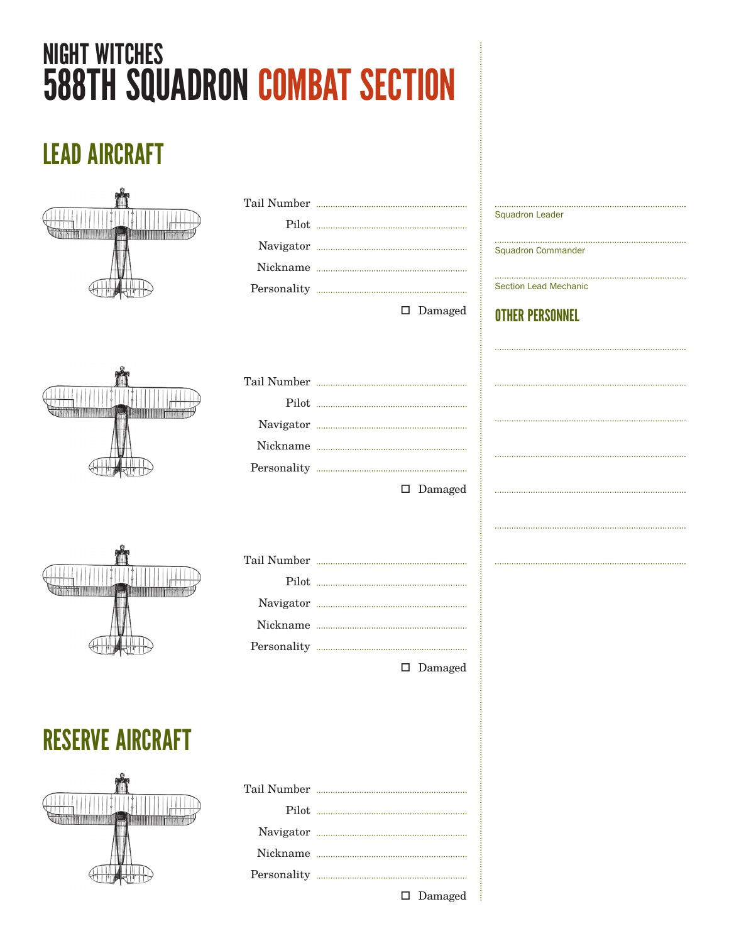## NIGHT WITCHES 588TH SQUADRON COMBAT SECTION

## LEAD AIRCRAFT



| -<br>,,,,,,,,,,, |  |  |  |  |
|------------------|--|--|--|--|
|                  |  |  |  |  |

| $\Box$ $D_1$ $\Box$ $\Box$ |
|----------------------------|

□ Damaged

Squadron Leader

Squadron Commander

Section Lead Mechanic

OTHER PERSONNEL

| $\Box$ Damagad |
|----------------|

Damaged



|  | $\square$ Damaged |
|--|-------------------|

RESERVE AIRCRAFT



| $\square$ Damaged |
|-------------------|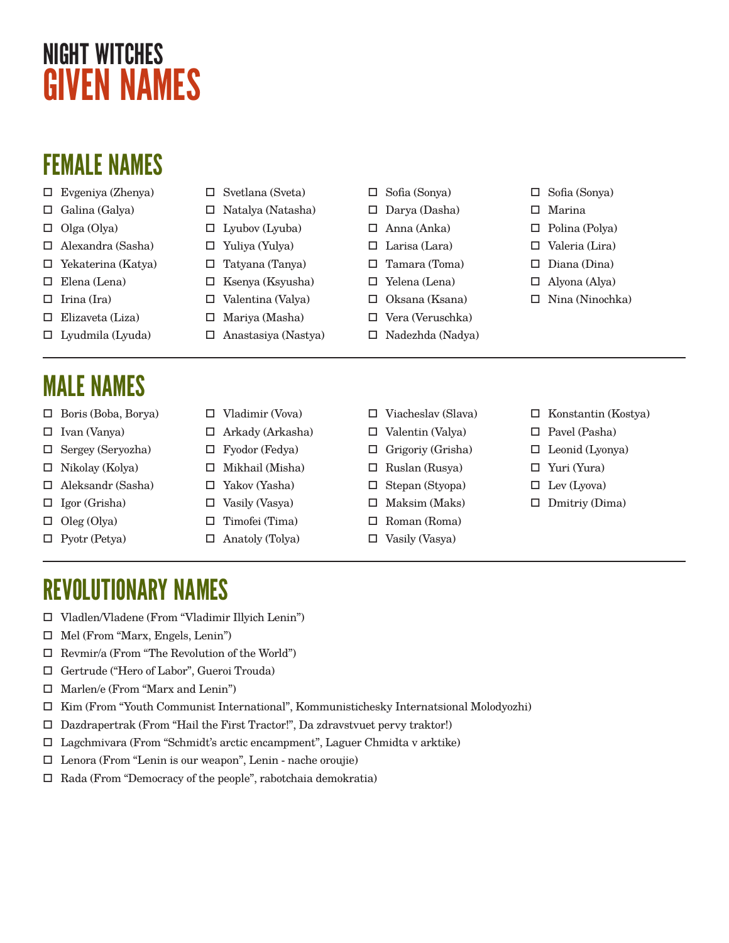## NIGHT WITCHES GIVEN NAMES

## FEMALE NAMES

- Evgeniya (Zhenya)
- Galina (Galya)
- $\Box$  Olga (Olya)
- Alexandra (Sasha)
- Yekaterina (Katya)
- Elena (Lena)
- $\Box$  Irina (Ira)
- $\Box$  Elizaveta (Liza)
- $\Box$  Lyudmila (Lyuda)

## MALE NAMES

- $\Box$  Boris (Boba, Borya)
- $\square$  Ivan (Vanya)
- Sergey (Seryozha)
- $\Box$  Nikolay (Kolya)
- Aleksandr (Sasha)
- Igor (Grisha)
- $\Box$  Oleg (Olya)
- $\Box$  Pyotr (Petya)
- $\square$  Svetlana (Sveta)
- Natalya (Natasha)
- $\square$  Lyubov (Lyuba)
- Yuliya (Yulya)
- $\Box$  Tatyana (Tanya)
- 
- 
- - $\Box$  Vladimir (Vova)
	- Arkady (Arkasha)
- Fyodor (Fedya)
- 
- 
- 
- 
- 
- Sofia (Sonya)
- $\Box$  Darya (Dasha)
- Anna (Anka)
- $\Box$  Larisa (Lara)
- Tamara (Toma)
- Yelena (Lena)
- Oksana (Ksana)
- $\Box$  Vera (Veruschka)
- 
- Viacheslav (Slava)
- $\square$  Valentin (Valya)
- $\Box$  Grigoriy (Grisha)
- $\Box$  Ruslan (Rusya)
- Stepan (Styopa)
- $\Box$  Maksim (Maks)
- Roman (Roma)
- $\square$  Vasily (Vasya)

Nina (Ninochka)

 Sofia (Sonya) Marina

 Polina (Polya) Valeria (Lira)  $\square$  Diana (Dina) Alyona (Alya)

- $\Box$  Konstantin (Kostya)
- □ Pavel (Pasha)
- $\Box$  Leonid (Lyonya)
- Yuri (Yura)
- $\Box$  Lev (Lyova)
- $\Box$  Dmitriy (Dima)

- REVOLUTIONARY NAMES
- Vladlen/Vladene (From "Vladimir Illyich Lenin")
- Mel (From "Marx, Engels, Lenin")
- $\Box$  Revmir/a (From "The Revolution of the World")
- Gertrude ("Hero of Labor", Gueroi Trouda)
- Marlen/e (From "Marx and Lenin")
- $\Box$  Kim (From "Youth Communist International", Kommunistichesky Internatsional Molodyozhi)
- Dazdrapertrak (From "Hail the First Tractor!", Da zdravstvuet pervy traktor!)
- Lagchmivara (From "Schmidt's arctic encampment", Laguer Chmidta v arktike)
- Lenora (From "Lenin is our weapon", Lenin nache oroujie)
- $\Box$  Rada (From "Democracy of the people", rabotchaia demokratia)

 $\Box$  Ksenya (Ksyusha) Valentina (Valya)

- $\Box$  Mariya (Masha)
- $\Box$  Anastasiya (Nastya)
	-
	-
- 
- $\Box$  Mikhail (Misha)
- Yakov (Yasha)
- $\square$  Vasily (Vasya)
- $\Box$  Timofei (Tima)
- Anatoly (Tolya)
- -
- 
- 
- $\Box$  Nadezhda (Nadya)
- - -
- 
- - - -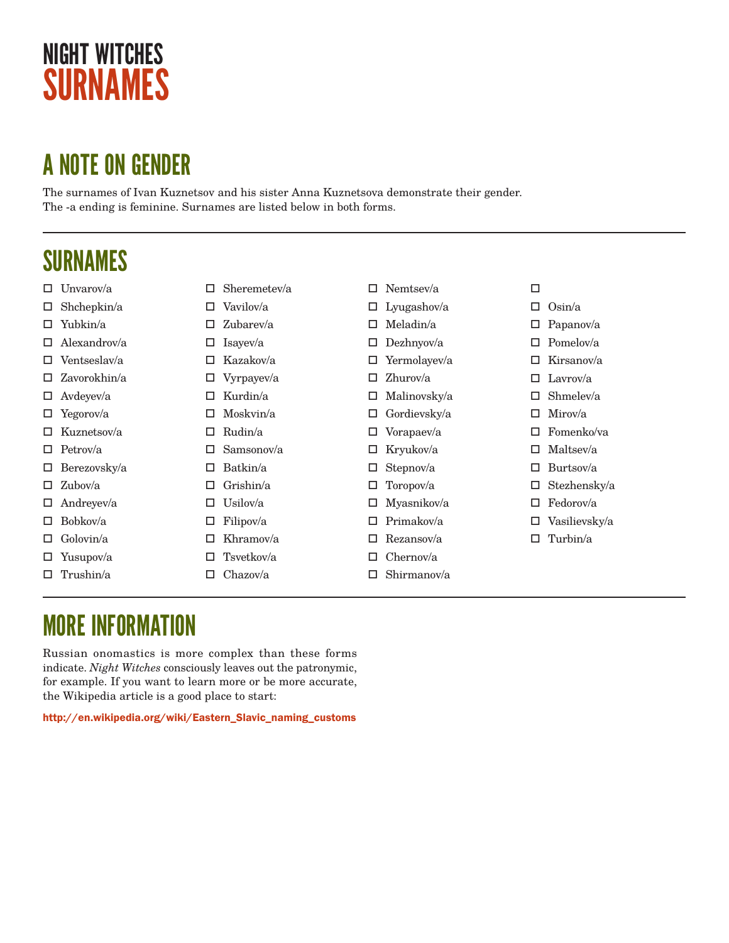## NIGHT WITCHES SURNAMES

## A NOTE ON GENDER

The surnames of Ivan Kuznetsov and his sister Anna Kuznetsova demonstrate their gender. The -a ending is feminine. Surnames are listed below in both forms.

### SURNAMES

|    | $\Box$ Unvarov/a    | □ | Sheremetev/a | □ | Nemtsey/a    | □ |               |
|----|---------------------|---|--------------|---|--------------|---|---------------|
|    | $\Box$ Shchepkin/a  |   | Vavilov/a    |   | Lyugashov/a  | □ | Osin/a        |
|    | $\Box$ Yubkin/a     | □ | Zubarev/a    | □ | Meladin/a    | □ | Papanov/a     |
|    | $\Box$ Alexandrov/a | ш | Isayev/a     | □ | Dezhnyov/a   | □ | Pomelov/a     |
|    | $\Box$ Ventseslav/a | ⊔ | Kazakov/a    | □ | Yermolayev/a | □ | Kirsanov/a    |
|    | $\Box$ Zavorokhin/a | ⊔ | Vyrpayev/a   | □ | $Z$ hurov/a  | ш | Lavrov/a      |
|    | $\Box$ Avdeyev/a    | ப | Kurdin/a     | ш | Malinovsky/a | ш | Shmelev/a     |
|    | $\Box$ Yegorov/a    | □ | Moskvin/a    |   | Gordievsky/a |   | Mirov/a       |
|    | $\Box$ Kuznetsov/a  | □ | Rudin/a      |   | Vorapaev/a   | ш | Fomenko/va    |
|    | $\Box$ Petrov/a     |   | Samsonov/a   |   | Kryukov/a    | ப | Maltsey/a     |
|    | $\Box$ Berezovsky/a | □ | Batkin/a     |   | Stepnov/a    | □ | Burtsov/a     |
|    | $\Box$ Zubov/a      | □ | Grishin/a    |   | Toropov/a    | □ | Stezhensky/a  |
|    | $\Box$ Andreyev/a   |   | Usilov/a     | □ | Myasnikov/a  | □ | Fedorov/a     |
|    | $\Box$ Bobkov/a     | ⊔ | Filipov/a    | □ | Primakov/a   |   | Vasilievsky/a |
| □. | Golovin/a           |   | Khramov/a    | □ | Rezansov/a   |   | Turbin/a      |
|    | $\Box$ Yusupov/a    |   | Tsvetkov/a   | □ | Chernov/a    |   |               |
| □  | Trushin/a           |   | Chazov/a     |   | Shirmanov/a  |   |               |
|    |                     |   |              |   |              |   |               |

### MORE INFORMATION

Russian onomastics is more complex than these forms indicate. *Night Witches* consciously leaves out the patronymic, for example. If you want to learn more or be more accurate, the Wikipedia article is a good place to start:

http://en.wikipedia.org/wiki/Eastern\_Slavic\_naming\_customs